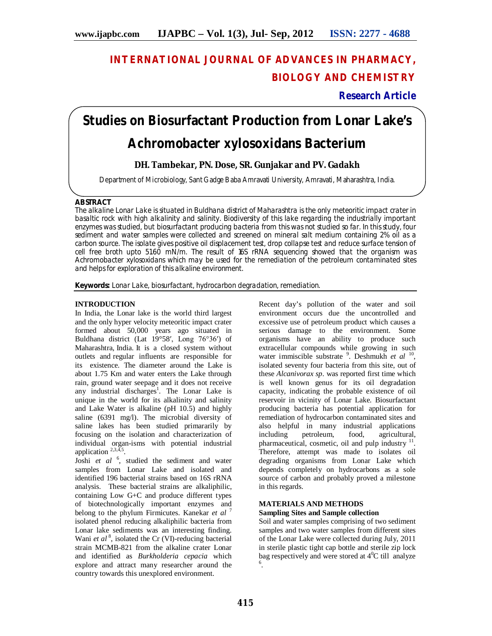## **INTERNATIONAL JOURNAL OF ADVANCES IN PHARMACY, BIOLOGY AND CHEMISTRY**

**Research Article**

# **Studies on Biosurfactant Production from Lonar Lake's**  *Achromobacter xylosoxidans* **Bacterium**

### **DH. Tambekar, PN. Dose, SR. Gunjakar and PV. Gadakh**

Department of Microbiology, Sant Gadge Baba Amravati University, Amravati, Maharashtra, India.

#### **ABSTRACT**

The alkaline Lonar Lake is situated in Buldhana district of Maharashtra is the only meteoritic impact crater in basaltic rock with high alkalinity and salinity. Biodiversity of this lake regarding the industrially important enzymes was studied, but biosurfactant producing bacteria from this was not studied so far. In this study, four sediment and water samples were collected and screened on mineral salt medium containing 2% oil as a carbon source. The isolate gives positive oil displacement test, drop collapse test and reduce surface tension of cell free broth upto 51.60 mN/m. The result of 16S rRNA sequencing showed that the organism was *Achromobacter xylosoxidans* which may be used for the remediation of the petroleum contaminated sites and helps for exploration of this alkaline environment.

**Keywords:** Lonar Lake, biosurfactant, hydrocarbon degradation, remediation.

#### **INTRODUCTION**

In India, the Lonar lake is the world third largest and the only hyper velocity meteoritic impact crater formed about 50,000 years ago situated in Buldhana district (Lat 19°58′, Long 76°36′) of Maharashtra, India. It is a closed system without outlets and regular influents are responsible for its existence. The diameter around the Lake is about 1.75 Km and water enters the Lake through rain, ground water seepage and it does not receive any industrial discharges<sup>1</sup>. The Lonar Lake is unique in the world for its alkalinity and salinity and Lake Water is alkaline (pH 10.5) and highly saline (6391 mg/l). The microbial diversity of saline lakes has been studied primararily by focusing on the isolation and characterization of individual organ-isms with potential industrial application  $2,3,4,5$ .

Joshi et al<sup>6</sup>, studied the sediment and water samples from Lonar Lake and isolated and identified 196 bacterial strains based on 16S rRNA analysis. These bacterial strains are alkaliphilic, containing Low G+C and produce different types of biotechnologically important enzymes and belong to the phylum Firmicutes. Kanekar *et al* <sup>7</sup> isolated phenol reducing alkaliphilic bacteria from Lonar lake sediments was an interesting finding. Wani et al<sup>8</sup>, isolated the Cr (VI)-reducing bacterial strain MCMB-821 from the alkaline crater Lonar and identified as *Burkholderia cepacia* which explore and attract many researcher around the country towards this unexplored environment.

Recent day's pollution of the water and soil environment occurs due the uncontrolled and excessive use of petroleum product which causes a serious damage to the environment. Some organisms have an ability to produce such extracellular compounds while growing in such water immiscible substrate <sup>9</sup> . Deshmukh *et al* <sup>10</sup> , isolated seventy four bacteria from this site, out of these *Alcanivorax sp*. was reported first time which is well known genus for its oil degradation capacity, indicating the probable existence of oil reservoir in vicinity of Lonar Lake. Biosurfactant producing bacteria has potential application for remediation of hydrocarbon contaminated sites and also helpful in many industrial applications including petroleum, food, agricultural, pharmaceutical, cosmetic, oil and pulp industry <sup>11</sup>. Therefore, attempt was made to isolates oil degrading organisms from Lonar Lake which depends completely on hydrocarbons as a sole source of carbon and probably proved a milestone in this regards.

## **MATERIALS AND METHODS**

## **Sampling Sites and Sample collection**

Soil and water samples comprising of two sediment samples and two water samples from different sites of the Lonar Lake were collected during July, 2011 in sterile plastic tight cap bottle and sterile zip lock bag respectively and were stored at  $4^{\circ}$ C till analyze 6 .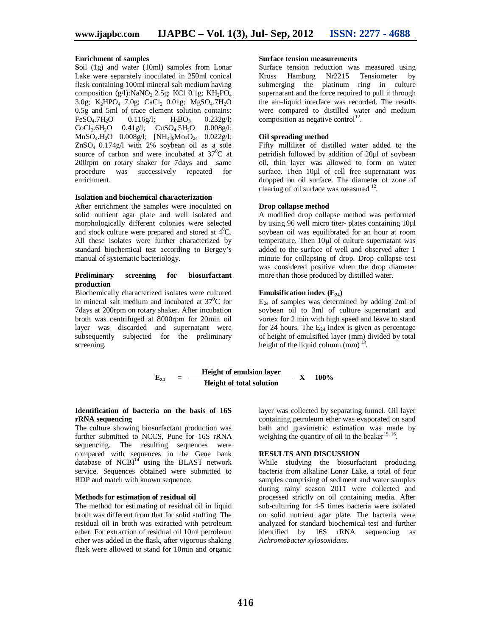#### **Enrichment of samples**

**S**oil (1g) and water (10ml) samples from Lonar Lake were separately inoculated in 250ml conical flask containing 100ml mineral salt medium having composition (g/l):NaNO<sub>3</sub> 2.5g; KCl 0.1g; KH<sub>2</sub>PO<sub>4</sub> 3.0g; K<sub>2</sub>HPO<sub>4</sub> 7.0g; CaCl<sub>2</sub> 0.01g; MgSO<sub>4</sub>.7H<sub>2</sub>O 0.5g and 5ml of trace element solution contains:<br>FeSO<sub>4</sub>.7H<sub>2</sub>O 0.116g/l; H<sub>3</sub>BO<sub>3</sub> 0.232g/l; FeSO<sub>4</sub>.7H<sub>2</sub>O 0.116g/l; H<sub>3</sub>BO<sub>3</sub> 0.232g/l;  $CoCl_2.6H_2O$  0.41g/l;  $CuSO_4.5H_2O$  0.008g/l;  $MnSO_4.H_2O$  0.008g/l;  $[NH_4]_6Mo_7O_{24}$  0.022g/l; ZnSO4 0.174g/l with 2% soybean oil as a sole source of carbon and were incubated at  $37^{\circ}$ C at 200rpm on rotary shaker for 7days and same<br>procedure was successively repeated for was successively repeated for enrichment.

#### **Isolation and biochemical characterization**

After enrichment the samples were inoculated on solid nutrient agar plate and well isolated and morphologically different colonies were selected and stock culture were prepared and stored at  $4^0C$ . All these isolates were further characterized by standard biochemical test according to Bergey's manual of systematic bacteriology.

#### **Preliminary screening for biosurfactant production**

Biochemically characterized isolates were cultured in mineral salt medium and incubated at  $37^{\circ}$ C for 7days at 200rpm on rotary shaker. After incubation broth was centrifuged at 8000rpm for 20min oil layer was discarded and supernatant were subsequently subjected for the preliminary screening.

#### **Surface tension measurements**

Surface tension reduction was measured using Krüss Hamburg Nr2215 Tensiometer by submerging the platinum ring in culture supernatant and the force required to pull it through the air–liquid interface was recorded. The results were compared to distilled water and medium composition as negative control<sup>12</sup>.

#### **Oil spreading method**

Fifty milliliter of distilled water added to the petridish followed by addition of 20µl of soybean oil, thin layer was allowed to form on water surface. Then 10µl of cell free supernatant was dropped on oil surface. The diameter of zone of clearing of oil surface was measured  $^{12}$ .

#### **Drop collapse method**

A modified drop collapse method was performed by using 96 well micro titer- plates containing 10µl soybean oil was equilibrated for an hour at room temperature. Then 10µl of culture supernatant was added to the surface of well and observed after 1 minute for collapsing of drop. Drop collapse test was considered positive when the drop diameter more than those produced by distilled water.

#### **Emulsification index**  $(E_{24})$

 $E_{24}$  of samples was determined by adding 2ml of soybean oil to 3ml of culture supernatant and vortex for 2 min with high speed and leave to stand for 24 hours. The  $E_{24}$  index is given as percentage of height of emulsified layer (mm) divided by total height of the liquid column  $\text{(mm)}^{\,13}$ .

$$
E_{24} = \frac{\text{Height of emulsion layer}}{\text{Height of total solution}} \quad X \quad 100\%
$$

#### **Identification of bacteria on the basis of 16S rRNA sequencing**

The culture showing biosurfactant production was further submitted to NCCS, Pune for 16S rRNA<br>sequencing. The resulting sequences were sequencing. The resulting sequences compared with sequences in the Gene bank database of  $NCBI<sup>14</sup>$  using the BLAST network service. Sequences obtained were submitted to RDP and match with known sequence.

#### **Methods for estimation of residual oil**

The method for estimating of residual oil in liquid broth was different from that for solid stuffing. The residual oil in broth was extracted with petroleum ether. For extraction of residual oil 10ml petroleum ether was added in the flask, after vigorous shaking flask were allowed to stand for 10min and organic

layer was collected by separating funnel. Oil layer containing petroleum ether was evaporated on sand bath and gravimetric estimation was made by weighing the quantity of oil in the beaker $^{15, 16}$ .

#### **RESULTS AND DISCUSSION**

While studying the biosurfactant producing bacteria from alkaline Lonar Lake, a total of four samples comprising of sediment and water samples during rainy season 2011 were collected and processed strictly on oil containing media. After sub-culturing for 4-5 times bacteria were isolated on solid nutrient agar plate. The bacteria were analyzed for standard biochemical test and further identified by 16S rRNA sequencing as *Achromobacter xylosoxidans*.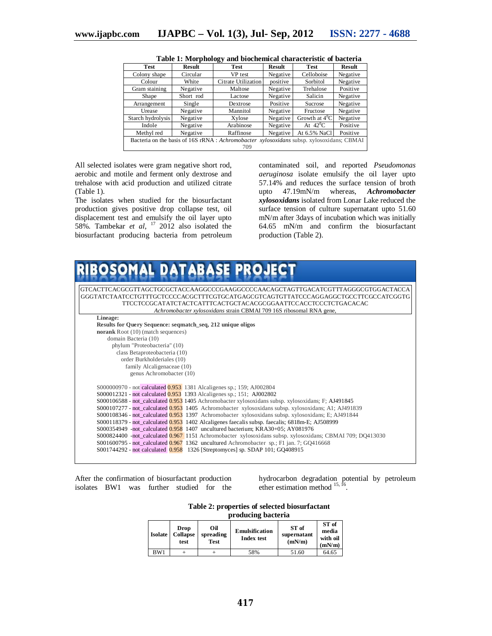| <b>Test</b>                                                                               | Result    | <b>Test</b>         | Result   | <b>Test</b>      | <b>Result</b> |  |  |  |
|-------------------------------------------------------------------------------------------|-----------|---------------------|----------|------------------|---------------|--|--|--|
| Colony shape                                                                              | Circular  | VP test             | Negative | Celloboise       | Negative      |  |  |  |
| Colour                                                                                    | White     | Citrate Utilization | positive | Sorbitol         | Negative      |  |  |  |
| Gram staining                                                                             | Negative  | Maltose             | Negative | Trehalose        | Positive      |  |  |  |
| Shape                                                                                     | Short rod |                     | Negative | Salicin          | Negative      |  |  |  |
| Arrangement                                                                               | Single    | Dextrose            | Positive | Sucrose          | Negative      |  |  |  |
| Negative<br>Urease                                                                        |           | Mannitol            | Negative | Fructose         | Negative      |  |  |  |
| Starch hydrolysis<br>Negative                                                             |           | Xylose              | Negative | Growth at $4^0C$ | Negative      |  |  |  |
| Indole                                                                                    | Negative  | Arabinose           | Negative | At $42^0C$       | Positive      |  |  |  |
| Methyl red                                                                                | Negative  | Raffinose           | Negative | At 6.5% NaCl     | Positive      |  |  |  |
| Bacteria on the basis of 16S rRNA : Achromobacter xylosoxidans subsp. xylosoxidans; CBMAI |           |                     |          |                  |               |  |  |  |
| 709                                                                                       |           |                     |          |                  |               |  |  |  |

| Table 1: Morphology and biochemical characteristic of bacteria |  |  |
|----------------------------------------------------------------|--|--|
|                                                                |  |  |

All selected isolates were gram negative short rod, aerobic and motile and ferment only dextrose and trehalose with acid production and utilized citrate (Table 1).

The isolates when studied for the biosurfactant production gives positive drop collapse test, oil displacement test and emulsify the oil layer upto 58%. Tambekar *et al*, <sup>17</sup> 2012 also isolated the biosurfactant producing bacteria from petroleum

contaminated soil, and reported *Pseudomonas aeruginosa* isolate emulsify the oil layer upto 57.14% and reduces the surface tension of broth<br>upto  $47.19 \text{mN/m}$  whereas. Achromobacter upto 47.19mN/m whereas, *Achromobacter xylosoxidans* isolated from Lonar Lake reduced the surface tension of culture supernatant upto 51.60 mN/m after 3days of incubation which was initially 64.65 mN/m and confirm the biosurfactant production (Table 2).

| OSOMAL DATABASE PI                                                                                        |  |  |  |  |
|-----------------------------------------------------------------------------------------------------------|--|--|--|--|
|                                                                                                           |  |  |  |  |
|                                                                                                           |  |  |  |  |
| GTCACTTCACGCGTTAGCTGCGCTACCAAGGCCCGAAGGCCCCAACAGCTAGTTGACATCGTTTAGGGCGTGGACTACCA                          |  |  |  |  |
| GGGTATCTAATCCTGTTTGCTCCCCACGCTTTCGTGCATGAGCGTCAGTGTTATCCCAGGAGGCTGCCTTCGCCATCGGTG                         |  |  |  |  |
|                                                                                                           |  |  |  |  |
| Achromobacter xylosoxidans strain CBMAI 709 16S ribosomal RNA gene,                                       |  |  |  |  |
| Lineage:                                                                                                  |  |  |  |  |
| Results for Query Sequence: segmatch_seq, 212 unique oligos                                               |  |  |  |  |
| norank Root (10) (match sequences)                                                                        |  |  |  |  |
| domain Bacteria (10)                                                                                      |  |  |  |  |
| phylum "Proteobacteria" (10)                                                                              |  |  |  |  |
| class Betaproteobacteria (10)<br>order Burkholderiales (10)                                               |  |  |  |  |
| family Alcaligenaceae (10)                                                                                |  |  |  |  |
| genus Achromobacter (10)                                                                                  |  |  |  |  |
|                                                                                                           |  |  |  |  |
| S000000970 - not calculated 0.953 1381 Alcaligenes sp.; 159; AJ002804                                     |  |  |  |  |
| S000012321 - not calculated 0.953 1393 Alcaligenes sp.; 151; AJ002802                                     |  |  |  |  |
| S000106588 - not_calculated 0.953 1405 Achromobacter xylosoxidans subsp. xylosoxidans; F; AJ491845        |  |  |  |  |
| S000107277 - not_calculated 0.953 1405 Achromobacter xylosoxidans subsp. xylosoxidans; A1; AJ491839       |  |  |  |  |
| S000108346 - not calculated 0.953 1397 Achromobacter xylosoxidans subsp. xylosoxidans; E; AJ491844        |  |  |  |  |
| S000118379 - not calculated 0.953 1402 Alcaligenes faecalis subsp. faecalis; 6818m-E; AJ508999            |  |  |  |  |
| $S000354949$ -not_calculated $0.958$ 1407 uncultured bacterium; KRA30+05; AY081976                        |  |  |  |  |
| S000824400 -not_calculated 0.967 1151 Achromobacter xylosoxidans subsp. xylosoxidans; CBMAI 709; DQ413030 |  |  |  |  |
| $S001600795$ - not_calculated 0.967 1362 uncultured Achromobacter sp.; F1 jan. 7; GQ416668                |  |  |  |  |
| S001744292 - not calculated 0.958 1326 [Streptomyces] sp. SDAP 101; GQ408915                              |  |  |  |  |
|                                                                                                           |  |  |  |  |

After the confirmation of biosurfactant production isolates BW1 was further studied for the hydrocarbon degradation potential by petroleum ether estimation method  $^{15, 16}$ .

**Table 2: properties of selected biosurfactant producing bacteria**

|                | <u> processore</u> province     |                                 |                                            |                                |                                      |  |  |
|----------------|---------------------------------|---------------------------------|--------------------------------------------|--------------------------------|--------------------------------------|--|--|
| <b>Isolate</b> | Drop<br><b>Collapse</b><br>test | Oil<br>spreading<br><b>Test</b> | <b>Emulsification</b><br><b>Index test</b> | ST of<br>supernatant<br>(mN/m) | ST of<br>media<br>with oil<br>(mN/m) |  |  |
| BW1            |                                 |                                 | 58%                                        | 51.60                          | 64.65                                |  |  |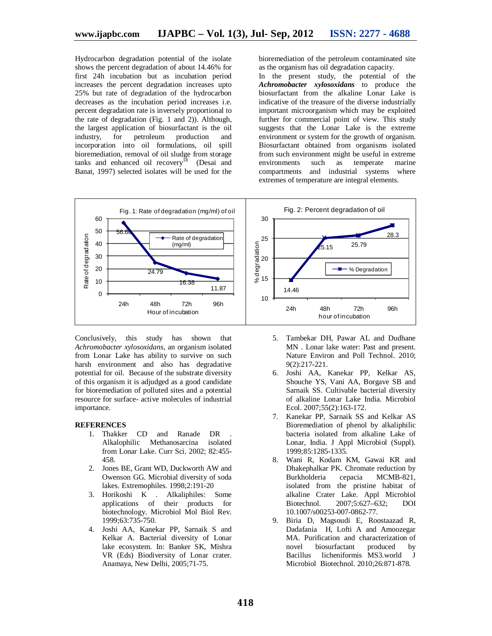Hydrocarbon degradation potential of the isolate shows the percent degradation of about 14.46% for first 24h incubation but as incubation period increases the percent degradation increases upto 25% but rate of degradation of the hydrocarbon decreases as the incubation period increases i.e. percent degradation rate is inversely proportional to the rate of degradation (Fig. 1 and 2)). Although, the largest application of biosurfactant is the oil<br>industry, for petroleum production and production and incorporation into oil formulations, oil spill bioremediation, removal of oil sludge from storage tanks and enhanced oil  $recovery^{18}$  (Desai and Banat, 1997) selected isolates will be used for the

bioremediation of the petroleum contaminated site as the organism has oil degradation capacity.

In the present study, the potential of the *Achromobacter xylosoxidans* to produce the biosurfactant from the alkaline Lonar Lake is indicative of the treasure of the diverse industrially important microorganism which may be exploited further for commercial point of view. This study suggests that the Lonar Lake is the extreme environment or system for the growth of organism. Biosurfactant obtained from organisms isolated from such environment might be useful in extreme environments such as temperate marine compartments and industrial systems where extremes of temperature are integral elements.



Conclusively, this study has shown that *Achromobacter xylosoxidans*, an organism isolated from Lonar Lake has ability to survive on such harsh environment and also has degradative potential for oil. Because of the substrate diversity of this organism it is adjudged as a good candidate for bioremediation of polluted sites and a potential resource for surface- active molecules of industrial importance.

#### **REFERENCES**

- 1. Thakker CD and Ranade DR . Alkalophilic Methanosarcina isolated from Lonar Lake. Curr Sci. 2002; 82:455- 458.
- 2. Jones BE, Grant WD, Duckworth AW and Owenson GG. Microbial diversity of soda lakes. Extremophiles. 1998;2:191-20
- 3. Horikoshi K . Alkaliphiles: Some applications of their products for biotechnology. Microbiol Mol Biol Rev. 1999;63:735-750.
- 4. Joshi AA, Kanekar PP, Sarnaik S and Kelkar A. Bacterial diversity of Lonar lake ecosystem. In: Banker SK, Mishra VR (Eds) Biodiversity of Lonar crater. Anamaya, New Delhi, 2005;71-75.
- 5. Tambekar DH, Pawar AL and Dudhane MN . Lonar lake water: Past and present. Nature Environ and Poll Technol. 2010; 9(2):217-221.
- 6. Joshi AA, Kanekar PP, Kelkar AS, Shouche YS, Vani AA, Borgave SB and Sarnaik SS. Cultivable bacterial diversity of alkaline Lonar Lake India. Microbiol Ecol. 2007;55(2):163-172.
- 7. Kanekar PP, Sarnaik SS and Kelkar AS Bioremediation of phenol by alkaliphilic bacteria isolated from alkaline Lake of Lonar, India. J Appl Microbiol (Suppl). 1999;85:1285-1335.
- 8. Wani R, Kodam KM, Gawai KR and Dhakephalkar PK. Chromate reduction by<br>Burkholderia cepacia MCMB-821, MCMB-821, isolated from the pristine habitat of alkaline Crater Lake. Appl Microbiol<br>Biotechnol. 2007:5:627-632: DOI Biotechnol. 2007;5:627–632; DOI 10.1007/s00253-007-0862-77.
- 9. Biria D, Magsoudi E, Roostaazad R, Dadafania H, Lofti A and Amoozegar MA. Purification and characterization of<br>novel biosurfactant produced by novel biosurfactant produced by Bacillus licheniformis MS3.world J Microbiol Biotechnol. 2010;26:871-878.